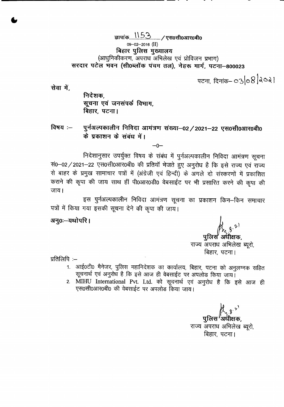**\$II<sup>q</sup>** i(f) n\_~3. /~O~03TROtfiO 09-02-2016 (II) बिहार पुलिस मुख्यालय (आधुनिकीकरण, अपराध अभिलेख एवं प्रोविजन प्रभाग) सरदार पटेल भवन (सी0ब्लॉक पंचम तल), नेहरू मार्ग, पटना-800023

पटना, दिनांक– 03 $|o8|$ वे $o$ वे 1

सेवा में.

•

निदेशक, **सूचना एवं जनसंपर्क विभाग,** बिहार, पटना।

**---------------------------------------- -**

विषय :– पुर्नअल्पकालीन निविदा आमंत्रण संख्या–02/2021–22 एस0सी0आर0बी0 <sup>~</sup> <sup>Y</sup> if)**l:t 1""1 <sup>~</sup>** ~Efq **<sup>111</sup>**

 $-0-$ 

निदेशानुसार उपर्युक्त विषय के संबंध में पुर्नअल्पकालीन निविदा आमंत्रण सूचना  $\frac{1}{10}$ -02/2021-22 एस0सी0आर0बी0 की प्रतियाँ भेजते हुए अनुरोध है कि इसे राज्य एवं राज्य से बाहर के प्रमुख सामाचार पत्रों में (अंग्रेजी एवं हिन्दी) के अगले दो संस्करणों में प्रकाशित कराने की कूपा की जाय साथ हीं पी0आर0डी0 वेबसाईट पर भी प्रसारित करने की कूपा की जाय।

इस पुर्नअल्पकालीन निविदा आमंत्रण सूचना का प्रकाशन किन–किन समाचार पत्रों में किया गया इसकी सूचना देने की कृपा की जाय।

अनु0ः-यथोपरि।

पुलिस अधीक्षक,

राज्य अपराध अभिलेख ब्यूरो, बिहार, पटना।

प्रतिलिपि $:=$ 

- 1. आई0टी0 मैनेजर, पुलिस महानिदेशक का कार्यालय, बिहार, पटना को अनुलग्नक सहित  $\pi$  राज्य एवं अनुरोध है कि इसे आज ही वेबसाईट पर अपलोड किया जाय।
- 2. MIHU International Pvt. Ltd. को सूचनार्थ एवं अनुरोध है कि इसे आज ही एस0सी0आर0बी0 की वेबसाईट पर अपलोड किया जाय।

पुलिस $\mathcal{H}_{3,3}$ ें पुलिस $\mathcal{F}_{3}$ अधीक्षक, राज्य अपराध अभिलेख ब्यूरो, बिहार, पटना।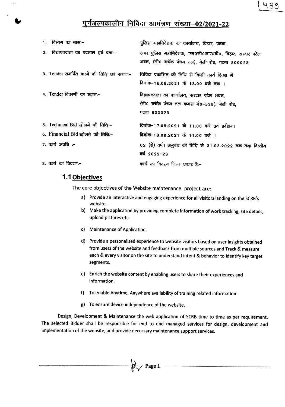# <u>पुर्नअल्पकालीन निविदा आमंत्रण संख्या–02/2021-22</u>

| 1. विभाग का नामः–                        | पुलिस महानिदेशक का कार्यालय, बिहार, पटना।                                                               |
|------------------------------------------|---------------------------------------------------------------------------------------------------------|
| 2. विज्ञापनदाता का पदनाम एवं पताः–       | अपर पुलिस महानिदेशक, एस0सी0आर0बी0, बिहार, सरदार पटेल<br>भवन, (सी0 ब्लॉक पंचम तल), बेली रोड, पटना 800023 |
| 3. Tender समर्पित करने की तिथि एवं समयः– | निविदा प्रकाशित की तिथि से किसी कार्य दिवस में<br>दिनांक–16.08.2021 के 13.00 बजे तक ।                   |
| 4. Tender विवरणी का स्थानः-              | विज्ञापनदाता का कार्यालय, सरदार पटेल भवन,<br>(सी0 ब्लॉक पंचम तल कमरा नं0-538), बेली रोड,<br>पटना ८०००२३ |
| 5. Technical Bid खोलने की तिथिः-         | दिनांक–17.08.2021 के 11.00 बजे एवं प्रर्दशन।                                                            |
| 6. Financial Bid खोलने की तिथिः-         | दिनांक-18.08.2021 के 11.00 बजे ।                                                                        |
| $7.$ कार्य अवधि :–                       | 02 (दो) वर्ष। अनुबंध की तिथि से 31.03.2022 तक तथा वित्तीय<br>वर्ष 2022-23                               |
| 8. कार्य का विवरणः–                      | कार्य का विवरण निम्न प्रकार है:–                                                                        |

# **1.1 Objectives**

The core objectives of the Website maintenance project are:

- a) Provide an interactive and engaging experience for all visitors landing on the SCRB's website.
- b) Make the application by providing complete information of work tracking, site details, upload pictures etc.
- c) Maintenance of Application.
- d) Provide a personalized experience to website visitors based on user insights obtained from users of the website and feedback from multiple sources and Track & measure each & every visitor on the site to understand intent & behavior to identify key target segments.
- e) Enrich the website content by enabling users to share their experiences and information.
- f) To enable Anytime, Anywhere availability of training related information.
- g) To ensure device independence of the website.

Design, Development & Maintenance the web application of SCRB time to time as per requirement. The selected Bidder shall be responsible for end to end managed services for design, development and implementation of the website, and provide necessary maintenance support services.

 $\mathbb{R}$  Page 1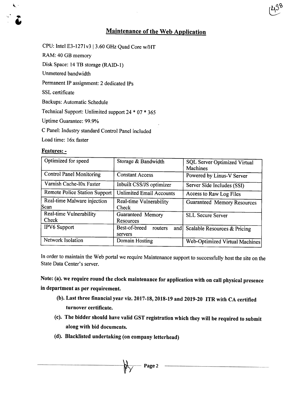# Maintenance of the Web Application

CPU: Intel E3-1271v3 | 3.60 GHz Quad Core w/HT

RAM: 40 GB memory

Disk Space: 14 TB storage (RAID-I)

Unmetered bandwidth

Permanent IP assignment: 2 dedicated IPs

SSL certificate

.<br>ا .. i<br>1

Backups: Automatic Schedule

Technical Support: Unlimited support 24 \* 07 \* 365

Uptime Guarantee: 99.9%

C Panel: Industry standard Control Panel included

Load time: 16x faster

#### Features: -

| Optimized for speed                 | Storage & Bandwidth                        | SQL Server Optimized Virtual<br><b>Machines</b> |
|-------------------------------------|--------------------------------------------|-------------------------------------------------|
| <b>Control Panel Monitoring</b>     | <b>Constant Access</b>                     | Powered by Linus-V Server                       |
| Varnish Cache-l0x Faster            | Inbuilt CSS/JS optimizer                   | Server Side Includes (SSI)                      |
| Remote Police Station Support       | <b>Unlimited Email Accounts</b>            | Access to Raw Log Files                         |
| Real-time Malware injection<br>Scan | Real-time Vulnerability<br>Check           | <b>Guaranteed Memory Resources</b>              |
| Real-time Vulnerability<br>Check    | Guaranteed Memory<br>Resources             | <b>SLL Secure Server</b>                        |
| <b>IPV6</b> Support                 | Best-of-breed<br>routers<br>and<br>servers | Scalable Resources & Pricing                    |
| Network Isolation                   | Domain Hosting                             | Web-Optimized Virtual Machines                  |

In order to maintain the Web portal we require Maintenance support to successfully host the site on the State Data Center's server.

Note: (a).we require round the clock maintenance for application with on call physical presence in department as per requirement.

- (b). Last three financial year viz. 2017-18,2018-19and 2019-20 ITR with CA certified turnover certificate.
- (c). The bidder should have valid GST registration which they will be required to submit along with bid documents.
- (d). Blacklisted undertaking (on company letterhead)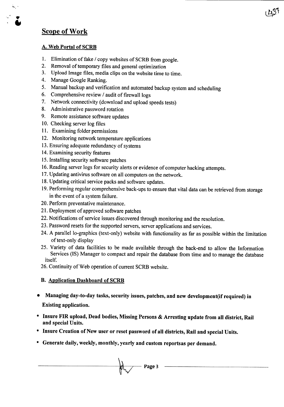# Scope of Work

..... , '

.. i<br>1

#### A. Web Portal of SCRB

- 1. Elimination of fake / copy websites of SCRB from google.
- 2. Removal of temporary files and general optimization
- 3. Upload Image files, media clips on the website time to time.
- 4. Manage Google Ranking.
- 5. Manual backup and verification and automated backup system and scheduling
- 6. Comprehensive review / audit of firewall logs
- 7. Network connectivity (download and upload speeds tests)
- 8. Administrative password rotation
- 9. Remote assistance software updates
- 10. Checking server log files
- 11. Examining folder permissions
- 12. Monitoring network temperature applications
- 13. Ensuring adequate redundancy of systems
- 14. Examining security features
- 15. Installing security software patches
- 16. Reading server logs for security alerts or evidence of computer hacking attempts.
- 17. Updating antivirus software on all computers on the network.
- 18. Updating critical service packs and software updates.
- 19. Performing regular comprehensive back-ups to ensure that vital data can be retrieved from storage in the event of a system failure.
- 20. Perform preventative maintenance.
- 21. Deployment of approved software patches
- 22. Notifications of service issues discovered through monitoring and the resolution.
- 23. Password resets for the supported servers, server applications and services.
- 24. A parallel lo-graphics (text-only) website with functionality as far as possible within the limitation of text-only display
- 25. Variety of data facilities to be made available through the back-end to allow the Information Services (IS) Manager to compact and repair the database from time and to manage the database itself.
- 26. Continuity of Web operation of current SCRB website.

## B. Application Dashboard of SCRB

- Managing day-to-day tasks, security issues, patches, and new development(if required) in Existing application.
- Insure FIR upload, Dead bodies, Missing Persons & Arresting update from all district, Rail and special Units.
- Insure Creation of New user or reset password of all districts, Rail and special Units.
- Generate daily, weekly, monthly, yearly and custom reportsas per demand.

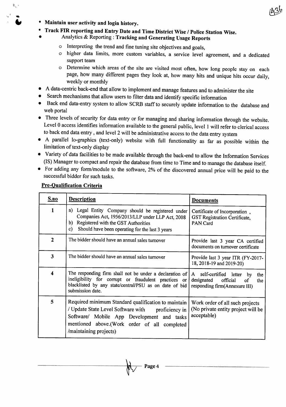

• Maintain user activity and login history.

...

 $\mathbb{R}_{\mathbb{Z}}$  :

**U** 

- Track FIR reporting and Entry Date and Time District Wise / Police Station Wise.
- Analytics & Reporting: Tracking and Generating Usage Reports
	- o Interpreting the trend and fine tuning site objectives and goals,
	- o higher data limits, more custom variables, a service level agreement, and a dedicated support team
	- o Determine which areas of the site are visited most often, how long people stay on each page, how many different pages they look at, how many hits and unique hits occur daily, weekly or monthly
- A data-centric back-end that allow to implement and manage features and to administer the site
- Search mechanisms that allow users to filter data and identify specific information
- Back end data-entry system to allow SCRB staff to securely update information to the database and web portal
- Three levels of security for data entry or for managing and sharing information through the website. Level 0 access identifies information available to the general public, level 1 will refer to clerical access to back end data entry, and level 2 will be administrative access to the data entry system
- A parallel lo-graphics (text-only) website with full functionality as far as possible within the limitation of text-only display
- Variety of data facilities to be made available through the back-end to allow the Information Services (IS) Manager to compact and repair the database from time to Time and to manage the database itself.
- For adding any form/module to the software, 2% of the discovered annual price will be paid to the successful bidder for such tasks.

| S.no           | <b>Description</b>                                                                                                                                                                                                               | <b>Documents</b>                                                                     |
|----------------|----------------------------------------------------------------------------------------------------------------------------------------------------------------------------------------------------------------------------------|--------------------------------------------------------------------------------------|
| $\mathbf{1}$   | Legal Entity Company should be registered under<br>a)<br>Companies Act, 1956/2013/LLP under LLP Act, 2008<br>Registered with the GST Authorities<br>b)<br>Should have been operating for the last 3 years<br>$\mathbf{c}$        | Certificate of Incorporation,<br>GST Registration Certificate,<br>PAN Card           |
| $\overline{2}$ | The bidder should have an annual sales turnover                                                                                                                                                                                  | Provide last 3 year CA certified<br>documents on turnover certificate                |
| 3              | The bidder should have an annual sales turnover                                                                                                                                                                                  | Provide last 3 year ITR (FY-2017-<br>18, 2018-19 and 2019-20)                        |
| 4              | The responding firm shall not be under a declaration of   A self-certified letter by<br>ineligibility for corrupt or fraudulent practices or<br>blacklisted by any state/central/PSU as on date of bid<br>submission date.       | the<br>designated<br>official<br>of<br>the<br>responding firm(Annexure III)          |
| 5              | Required minimum Standard qualification to maintain<br>/ Update State Level Software with proficiency in<br>Software/ Mobile App Development and tasks<br>mentioned above.(Work order of all completed<br>/maintaining projects) | Work order of all such projects<br>(No private entity project will be<br>acceptable) |

Page 4

## Pre-Qualification Criteria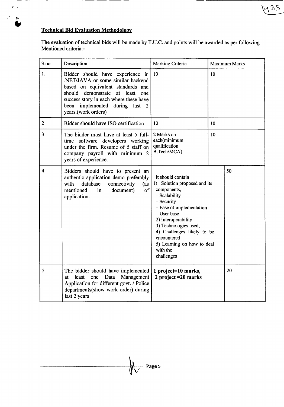# Technical Bid Evaluation Methodology

л.

 $\tilde{\mathbf{r}}$  .  $\tilde{\boldsymbol{\tau}}$ 

 $\mathcal{L}$  $\blacktriangleright$  $\tilde{\bullet}$  --------

The evaluation of technical bids will be made by T.U.C. and points will be awarded as per following Mentioned criteria:-

1435

| S.no                    | Description                                                                                                                                                                                                                                      | Marking Criteria                                                                                                                                                                                                                                                                                | <b>Maximum Marks</b> |
|-------------------------|--------------------------------------------------------------------------------------------------------------------------------------------------------------------------------------------------------------------------------------------------|-------------------------------------------------------------------------------------------------------------------------------------------------------------------------------------------------------------------------------------------------------------------------------------------------|----------------------|
| 1.                      | Bidder should have experience in<br>.NET/JAVA or some similar backend<br>based on equivalent standards and<br>should demonstrate at least one<br>success story in each where these have<br>been implemented during last 2<br>years.(work orders) | 10                                                                                                                                                                                                                                                                                              | 10                   |
| $\overline{2}$          | Bidder should have ISO certification                                                                                                                                                                                                             | 10                                                                                                                                                                                                                                                                                              | 10                   |
| $\overline{\mathbf{3}}$ | The bidder must have at least 5 full-<br>time software developers working<br>under the firm. Resume of 5 staff on<br>company payroll with minimum 2<br>years of experience.                                                                      | 2 Marks on<br>each(minimum<br>qualification<br>B.Tech/MCA)                                                                                                                                                                                                                                      | 10                   |
| 4                       | Bidders should have to present an<br>authentic application demo preferably<br>with<br>database<br>connectivity<br>(as <sup>1</sup><br>mentioned<br>of<br>document)<br>in<br>application.                                                         | It should contain<br>1) Solution proposed and its<br>components,<br>- Scalability<br>- Security<br>- Ease of implementation<br>- User base<br>2) Interoperability<br>3) Technologies used,<br>4) Challenges likely to be<br>encountered<br>5) Learning on how to deal<br>with the<br>challenges | 50                   |
| 5                       | The bidder should have implemented<br>least<br>one<br>Management<br>Data<br>at<br>Application for different govt. / Police<br>departments(show work order) during<br>last 2 years                                                                | 1 project=10 marks,<br>2 project $=20$ marks                                                                                                                                                                                                                                                    | 20                   |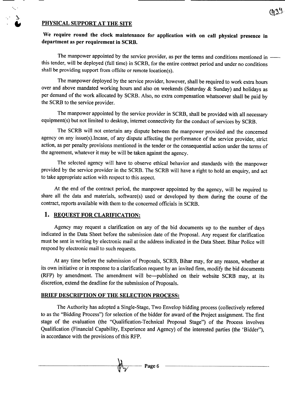## PHYSICAL SUPPORT AT THE SITE

 $\mathbb{R}^n$  .

We require round the clock maintenance for application with on call physical presence in department as per requirement in SCRB.

The manpower appointed by the service provider, as per the terms and conditions mentioned in -this tender, will be deployed (full time) in SCRB, for the entire contract period and under no conditions shall be providing support from offsite or remote location(s).

The manpower deployed by the service provider, however, shall be required to work extra hours over and above mandated working hours and also on weekends (Saturday & Sunday) and holidays as per demand of the work allocated by SCRB. Also, no extra compensation whatsoever shall be paid by the SCRB to the service provider.

The manpower appointed by the service provider in SCRB, shall be provided with all necessary equipment(s) but not limited to desktop, internet connectivity for the conduct of services by SCRB.

The SCRB will not entertain any dispute between the manpower provided and the concerned agency on any issue(s).Incase, of any dispute affecting the performance of the service provider, strict action, as per penalty provisions mentioned in the tender or the consequential action under the terms of the agreement, whatever it may be will be taken against the agency.

The selected agency will have to observe ethical behavior and standards with the manpower provided by the service provider in the SCRB. The SCRB will have a right to hold an enquiry, and act to take appropriate action with respect to this aspect.

At the end of the contract period, the manpower appointed by the agency, will be required to share all the data and materials, software(s) used or developed by them during the course of the contract, reports available with them to the concerned officials in SCRB.

#### 1. REQUEST FOR CLARIFICATION:

Agency may request a clarification on any of the bid documents up to the number of days indicated in the Data Sheet before the submission date of the Proposal. Any request for clarification must be sent in writing by electronic mail at the address indicated in the Data Sheet. Bihar Police will respond by electronic mail to such requests.

At any time before the submission of Proposals, SCRB, Bihar may, for any reason, whether at its own initiative or in response to a clarification request by an invited firm, modify the bid documents (RFP) by amendment. The amendment will be--published on their website SCRB may, at its discretion, extend the deadline for the submission of Proposals.

#### BRIEF DESCRIPTION OF THE SELECTION PROCESS:

The Authority has adopted a Single-Stage, Two Envelop bidding process (collectively referred to as the "Bidding Process") for selection of the bidder for award of the Project assignment. The first stage of the evaluation (the "Qualification-Technical Proposal Stage") of the Process involves Qualification (Financial Capability, Experience and Agency) of the interested parties (the 'Bidder"), in accordance with the provisions of this RFP.

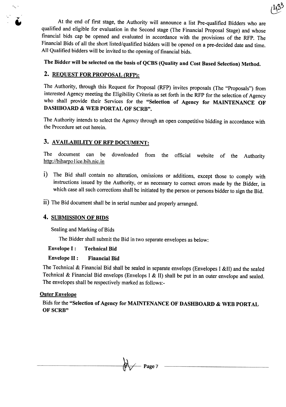At the end of first stage, the Authority will announce a list Pre-qualified Bidders who are qualified and eligible for evaluation in the Second stage (The Financial Proposal Stage) and whose financial bids cap be opened and evaluated in accordance with the provisions of the RFP. The Financial Bids of all the short listed/qualified bidders will be opened on a pre-decided date and time. All Qualified bidders will be invited to the opening of financial bids.

The Bidder will be selected on the basis of QCBS (Quality and Cost Based Selection) Method.

# 2. REQUEST FOR PROPOSAL (RFP):

'.

The Authority, through this Request for Proposal (RFP) invites proposals (The "Proposals") from interested Agency meeting the Eligibility Criteria as set forth in the RFP for the selection of Agency who shall provide their Services for the "Selection of Agency for MAINTENANCE OF DASHBOARD & WEB PORTAL OF SCRB".

The Authority intends to select the Agency through an open competitive bidding in accordance with the Procedure set out herein.

# 3. AVAILABILITY OF RFP DOCUMENT:

The document can be downloaded from the official website of the Authority http://biharpol ice.bih.nic.in

- i) The Bid shall contain no alteration, omissions or additions, except those to comply with instructions issued by the Authority, or as necessary to correct errors made by the Bidder, in which case all such corrections shall be initiated by the person or persons bidder to sign the Bid.
- ii) The Bid document shall be in serial number and properly arranged.

## 4. SUBMISSION OF BIDS

Sealing and Marking of Bids

The Bidder shall submit the Bid in two separate envelopes as below:

## Envelope I: Technical Bid

## Envelope II: Financial Bid

The Technical & Financial Bid shall be sealed in separate envelops (Envelopes I &11) and the sealed Technical & Financial Bid envelops (Envelops I & II) shall be put in an outer envelope and sealed. The envelopes shall be respectively marked as follows:-

## **Outer Envelope**

Bids for the "Selection of Agency for MAINTENANCE OF DASHBOARD & WEB PORTAL OF SCRB"

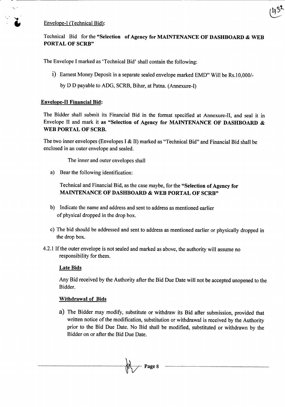#### Envelope-I (Technical Bid):

''', .



The Envelope I marked as 'Technical Bid' shall contain the following:

i) Earnest Money Deposit in a separate sealed envelope marked EMD" Will be Rs.l *0,0001-*

by D D payable to ADG, SCRB, Bihar, at Patna. (Annexure-I)

#### Envelope-II Financial Bid:

The Bidder shall submit its Financial Bid in the format specified at Annexure-II, and seal it in Envelope II and mark it as "Selection of Agency for MAINTENANCE OF DASHBOARD & WEB PORTAL OF SCRB.

The two inner envelopes (Envelopes I & II) marked as "Technical Bid" and Financial Bid shall be enclosed in an outer envelope and sealed.

The inner and outer envelopes shall

a) Bear the following identification:

Technical and Financial Bid, as the case maybe, for the "Selection of Agency for MAINTENANCE OF DASHBOARD & WEB PORTAL OF SCRB"

- b) Indicate the name and address and sent to address as mentioned earlier of physical dropped in the drop box.
- c) The bid should be addressed and sent to address as mentioned earlier or physically dropped in the drop box.
- 4.2.1 If the outer envelope is not sealed and marked as above, the authority will assume no responsibility for them.

#### Late Bids

Any Bid received by the Authority after the Bid Due Date will not be accepted unopened to the Bidder.

#### Withdrawal of Bids

a) The Bidder may modify, substitute or withdraw its Bid after submission, provided that written notice of the modification, substitution or withdrawal is received by the Authority prior to the Bid Due Date. No Bid shall be modified, substituted or withdrawn by the Bidder on or after the Bid Due Date.

 $-$  Page 8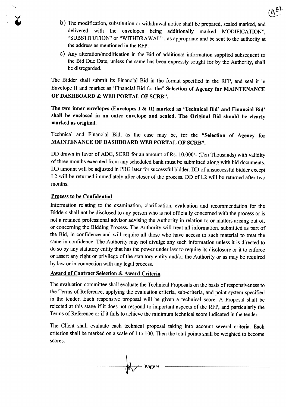- b) The modification, substitution or withdrawal notice shall be prepared, sealed marked, and delivered with the envelopes being additionally marked MODIFICATION", "SUBSTITUTION" or "WITHDRAWAL" , as appropriate and be sent to the authority at the address as mentioned in the RFP.
- c) Any alteration/modification in the Bid of additional information supplied subsequent to the Bid Due Date, unless the same has been expressly sought for by the Authority, shall be disregarded.

The Bidder shall submit its Financial Bid in the format specified in the RFP, and seal it in Envelope II and market as 'Financial Bid for the" Selection of Agency for MAINTENANCE OF DASHBOARD & WEB PORTAL OF SCRB".

The two inner envelopes (Envelopes I & II) marked as 'Technical Bid' and Financial Bid' shall be enclosed in an outer envelope and sealed. The Original Bid should be clearly marked as original.

Technical and Financial Bid, as the case may be, for the "Selection of Agency for MAINTENANCE OF DASHBOARD WEB PORTAL OF SCRB".

DD drawn in favor of ADG, SCRB for an amount of Rs. 10,000/- (Ten Thousands) with validity of three months executed from any scheduled bank must be submitted along with bid documents. DD amount will be adjusted in PBG later for successful bidder. DD of unsuccessful bidder except L2 will be returned immediately after closer of the process. DD of L2 will be returned after two months.

#### Process to be Confidential

Information relating to the examination, clarification, evaluation and recommendation for the Bidders shall not be disclosed to any person who is not officially concerned with the process or is not a retained professional advisor advising the Authority in relation to or matters arising out of, or concerning the Bidding Process. The Authority will treat all information, submitted as part of the Bid, in confidence and will require all those who have access to such material to treat the same in confidence. The Authority may not divulge any such information unless it is directed to do so by any statutory entity that has the power under law to require its disclosure or it to enforce or assert any right or privilege of the statutory entity and/or the Authority or as may be required by law or in connection with any legal process.

## Award of Contract Selection & Award Criteria.

The evaluation committee shall evaluate the Technical Proposals on the basis of responsiveness to the Terms of Reference, applying the evaluation criteria, sub-criteria, and point system specified in the tender. Each responsive proposal will be given a technical score. A Proposal shall be rejected at this stage if it does not respond to important aspects of the RFP, and particularly the Terms of Reference or if it fails to achieve the minimum technical score indicated in the tender.

The Client shall evaluate each technical proposal taking into account several criteria. Each criterion shall be marked on a scale of 1 to 100. Then the total points shall be weighted to become scores.

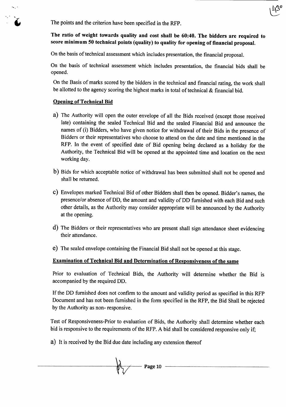The points and the criterion have been specified in the RFP.

## The ratio of weight towards quality and cost shall be 60:40. The bidders are required to score minimum 50 technical points (quality) to quality for opening of financial proposal.

On the basis of technical assessment which includes presentation, the financial proposal.

On the basis of technical assessment which includes presentation, the financial bids shall be opened.

On the Basis of marks scored by the bidders in the technical and financial rating, the work shall be allotted to the agency scoring the highest marks in total of technical & financial bid.

#### Opening of Technical Bid

~,~.

. .

- a) The Authority will open the outer envelope of all the Bids received (except those received late) containing the sealed Technical Bid and the sealed Financial Bid and announce the names of (i) Bidders, who have given notice for withdrawal of their Bids in the presence of Bidders or their representatives who choose to attend on the date and time mentioned in the RFP. In the event of specified date of Bid opening being declared as a holiday for the Authority, the Technical Bid will be opened at the appointed time and location on the next working day.
- b) Bids for which acceptable notice of withdrawal has been submitted shall not be opened and shall be returned.
- c) Envelopes marked Technical Bid of other Bidders shall then be opened. Bidder's names, the presence/or absence of DD, the amount and validity of DD furnished with each Bid and such other details, as the Authority may consider appropriate will be announced by the Authority at the opening.
- d) The Bidders or their representatives who are present shall sign attendance sheet evidencing their attendance.
- e) The sealed envelope containing the Financial Bid shall not be opened at this stage.

## Examination of Technical Bid and Determination of Responsiveness of the same

Prior to evaluation of Technical Bids, the Authority will determine whether the Bid is accompanied by the required DD.

If the DD furnished does not confirm to the amount and validity period as specified in this RFP Document and has not been furnished in the form specified in the RFP, the Bid Shall be rejected by the Authority as non- responsive.

Test of Responsiveness-Prior to evaluation of Bids, the Authority shall determine whether each bid is responsive to the requirements of the RFP. A bid shall be considered responsive only if;

a) It is received by the Bid due date including any extension thereof

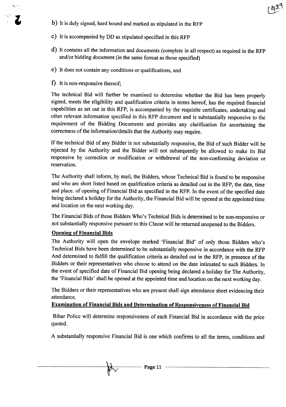- b) It is duly signed, hard bound and marked as stipulated in the RFP
- c) It is accompanied by DD as stipulated specified in this RFP
- d) It contains all the information and documents (complete in all respect) as required in the RFP and/or bidding document (in the same format as those specified)
- e) It does not contain any conditions or qualifications, and
- f) It is non-responsive thereof;

..~..

The technical Bid will further be examined to determine whether the Bid has been properly signed, meets the eligibility and qualification criteria in terms hereof, has the required financial capabilities as set out in this RFP, is accompanied by the requisite certificates, undertaking and other relevant information specified in this RFP document and is substantially responsive to the requirement of the Bidding Documents and provides any clarification for ascertaining the correctness of the information/details that the Authority may require.

If the technical Bid of any Bidder is not substantially responsive, the Bid of such Bidder will be rejected by the Authority and the Bidder will not subsequently be allowed to make its Bid responsive by correction or modification or withdrawal of the non-conforming deviation or reservation.

The Authority shall inform, by mail, the Bidders, whose Technical Bid is found to be responsive and who are short listed based on qualification criteria as detailed out in the RFP, the date, time and place. of opening of Financial Bid as specified in the RFP. In the event of the specified date being declared a holiday for the Authority, the Financial Bid will be opened at the appointed time and location on the next working day.

The Financial Bids of those Bidders Who's Technical Bids is determined to be non-responsive or not substantially responsive pursuant to this Clause will be returned unopened to the Bidders.

## Opening of Financial Bids

The Authority will open the envelope marked 'Financial Bid' of only those Bidders who's Technical Bids have been determined to be substantially responsive in accordance with the RFP And determined to fulfill the qualification criteria as detailed out in the RFP, in presence of the Bidders or their representatives who choose to attend on the date intimated to such Bidders. In the event of specified date of Financial Bid opening being declared a holiday for The Authority, the 'Financial Bids' shall be opened at the appointed time and location on the next working day.

The Bidders or their representatives who are present shall sign attendance sheet evidencing their attendance.

## Examination of Financial Bids and Determination of Responsiveness of Financial Bid

Bihar Police will determine responsiveness of each Financial Bid in accordance with the price quoted.

A substantially responsive Financial Bid is one which confirms to all the terms, conditions and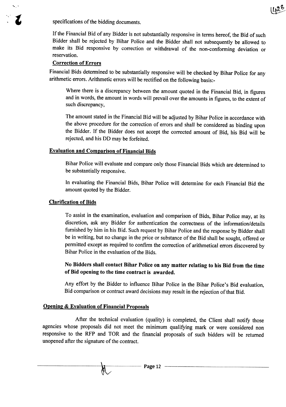specifications of the bidding documents.

If the Financial Bid of any Bidder is not substantially responsive in terms hereof, the Bid of such Bidder shall be rejected by Bihar Police and the Bidder shall not subsequently be allowed to make its Bid responsive by correction or withdrawal of the non-conforming deviation or reservation.

## Correction of Errors

**....** ~

Financial Bids determined to be substantially responsive will be checked by Bihar Police for any arithmetic errors. Arithmetic errors will be rectified on the following basis:-

Where there is a discrepancy between the amount quoted in the Financial Bid, in figures and in words, the amount in words will prevail over the amounts in figures, to the extent of such discrepancy,

The amount stated in the Financial Bid will be adjusted by Bihar Police in accordance with the above procedure for the correction of errors and shall be considered as binding upon the Bidder. If the Bidder does not accept the corrected amount of Bid, his Bid will be rejected, and his DO may be forfeited.

#### Evaluation and Comparison of Financial Bids

Bihar Police will evaluate and compare only those Financial Bids which are determined to be substantially responsive.

In evaluating the Financial Bids, Bihar Police will determine for each Financial Bid the amount quoted by the Bidder.

#### Clarification of Bids

To assist in the examination, evaluation and comparison of Bids, Bihar Police may, at its discretion, ask any Bidder for authentication the correctness of the information/details furnished by him in his Bid. Such request by Bihar Police and the response by Bidder shall be in writing, but no change in the price or substance of the Bid shall be sought, offered or permitted except as required to confirm the correction of arithmetical errors discovered by Bihar Police in the evaluation of the Bids.

## No Bidders shall contact Bihar Police on any matter relating to his Bid from the time of Bid opening to the time contract is awarded.

Any effort by the Bidder to influence Bihar Police in the Bihar Police's Bid evaluation, Bid comparison or contract award decisions may result in the rejection of that Bid.

#### Opening & Evaluation of Financial Proposals

After the technical evaluation (quality) is completed, the Client shall notify those agencies whose proposals did not meet the minimum qualifying mark or were considered non responsive to the RFP and TOR and the financial proposals of such bidders will be returned unopened after the signature of the contract.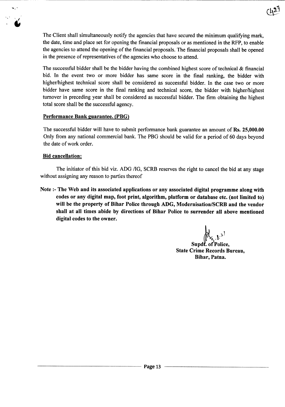The Client shall simultaneously notify the agencies that have secured the minimum qualifying mark, the date, time and place set for opening the financial proposals or as mentioned in the RFP, to enable the agencies to attend the opening of the financial proposals. The financial proposals shall be opened in the presence of representatives of the agencies who choose to attend.

The successful bidder shall be the bidder having the combined highest score of technical & financial bid. In the event two or more bidder has same score in the final ranking, the bidder with higher/highest technical score shall be considered as successful bidder. In the case two or more bidder have same score in the final ranking and technical score, the bidder with higher/highest turnover in preceding year shall be considered as successful bidder. The firm obtaining the highest total score shall be the successful agency.

## Performance Bank guarantee. (PBG)

The successful bidder will have to submit performance bank guarantee an amount of Rs. 25,000.00 Only from any national commercial bank. The PBG should be valid for a period of 60 days beyond the date of work order.

## Bid cancellation:

.....

*, I* •

> The initiator of this bid viz. ADG /IG, SCRB reserves the right to cancel the bid at any stage without assigning any reason to parties thereof

> Note :- The Web and its associated applications or any associated digital programme along with codes or any digital map, foot print, algorithm, platform or database etc. (not limited to) will be the property of Bihar Police through ADG, Modernisation/SCRB and the vendor shall at all times abide by directions of Bihar Police to surrender all above mentioned digital codes to the owner.

 $d_{x_{s},b}^{1}$ .

Supdt. of Police, State Crime Records Bureau, Bihar, Patna.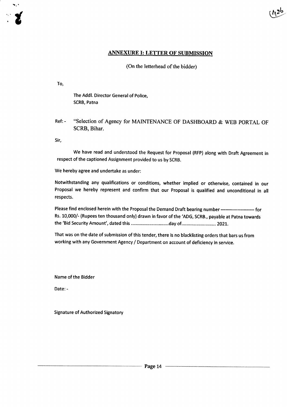#### ANNEXURE I: LETTER OF SUBMISSION

#### (On the letterhead of the bidder)

To,

....

The Addl. Director General of Police, SCRB, Patna

Ref: - "Selection of Agency for MAINTENANCE OF DASHBOARD & WEB PORTAL OF SCRB, Bihar.

Sir,

We have read and understood the Request for Proposal (RFP) along with Draft Agreement in respect of the captioned Assignment provided to us by SCRB.

We hereby agree and undertake as under:

Notwithstanding any qualifications or conditions, whether implied or otherwise, contained in our Proposal we hereby represent and confirm that our Proposal is qualified and unconditional in all respects.

Please find enclosed herein with the Proposal the Demand Draft bearing number ---------------------- for Rs. 10,000/- (Rupees ten thousand only) drawn in favor of the 'ADG, SCRB., payable at Patna towards the 'Bid Security Amount', dated this ...............................day of ........................... 2021.

That was on the date of submission of this tender, there is no blacklisting orders that bars us from working with any Government Agency / Department on account of deficiency in service.

Name of the Bidder

Date: -

Signature of Authorized Signatory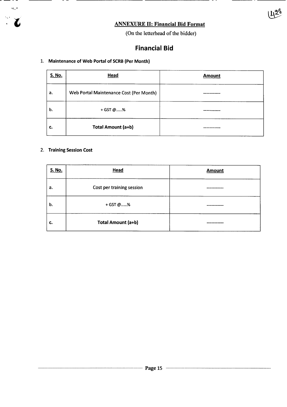# ANNEXURE II: Financial Bid Format

(On the letterhead of the bidder)

1423

# **Financial Bid**

#### 1. Maintenance of Web Portal of SCRB(Per Month)

| <b>S. No.</b> | Head                                    | <b>Amount</b> |
|---------------|-----------------------------------------|---------------|
| а.            | Web Portal Maintenance Cost (Per Month) |               |
| b.            | + GST @%                                |               |
| c.            | Total Amount (a+b)                      |               |

# 2. Training Session Cost

 $\mathcal{A}, \mathcal{B}$ 

L

 $\ddot{\phantom{a}}$ 

| S. No. | <b>Head</b>               | <b>Amount</b> |
|--------|---------------------------|---------------|
| а.     | Cost per training session |               |
| b.     | + GST @%                  |               |
| c.     | Total Amount (a+b)        |               |